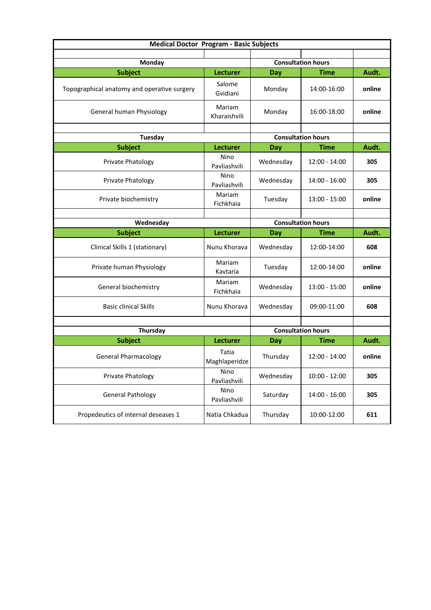| <b>Medical Doctor Program - Basic Subjects</b> |                           |                           |                 |        |  |  |
|------------------------------------------------|---------------------------|---------------------------|-----------------|--------|--|--|
|                                                |                           |                           |                 |        |  |  |
| <b>Monday</b>                                  |                           | <b>Consultation hours</b> |                 |        |  |  |
| <b>Subject</b>                                 | Lecturer                  | Day                       | <b>Time</b>     | Audt.  |  |  |
| Topographical anatomy and operative surgery    | Salome<br>Gvidiani        | Monday                    | 14:00-16:00     | online |  |  |
| General human Physiology                       | Mariam<br>Kharaishvili    | Monday                    | 16:00-18:00     | online |  |  |
| <b>Tuesday</b>                                 |                           | <b>Consultation hours</b> |                 |        |  |  |
|                                                |                           |                           |                 |        |  |  |
| <b>Subject</b>                                 | <b>Lecturer</b>           | <b>Day</b>                | <b>Time</b>     | Audt.  |  |  |
| Private Phatology                              | Nino<br>Pavliashvili      | Wednesday                 | $12:00 - 14:00$ | 305    |  |  |
| Private Phatology                              | Nino<br>Pavliashvili      | Wednesday                 | 14:00 - 16:00   | 305    |  |  |
| Private biochemistry                           | Mariam<br>Fichkhaia       | Tuesday                   | 13:00 - 15:00   | online |  |  |
|                                                |                           |                           |                 |        |  |  |
| Wednesday                                      | <b>Consultation hours</b> |                           |                 |        |  |  |
| <b>Subject</b>                                 | <b>Lecturer</b>           | Day                       | Time            | Audt.  |  |  |
| Clinical Skills 1 (stationary)                 | Nunu Khorava              | Wednesday                 | 12:00-14:00     | 608    |  |  |
| Private human Physiology                       | Mariam<br>Kavtaria        | Tuesday                   | 12:00-14:00     | online |  |  |
| General biochemistry                           | Mariam<br>Fichkhaia       | Wednesday                 | 13:00 - 15:00   | online |  |  |
| <b>Basic clinical Skills</b>                   | Nunu Khorava              | Wednesday                 | 09:00-11:00     | 608    |  |  |
|                                                |                           |                           |                 |        |  |  |
| <b>Thursday</b>                                |                           | <b>Consultation hours</b> |                 |        |  |  |
| <b>Subject</b>                                 | Lecturer                  | Day                       | <b>Time</b>     | Audt.  |  |  |
| <b>General Pharmacology</b>                    | Tatia<br>Maghlaperidze    | Thursday                  | 12:00 - 14:00   | online |  |  |
| Private Phatology                              | Nino<br>Pavliashvili      | Wednesday                 | $10:00 - 12:00$ | 305    |  |  |
| <b>General Pathology</b>                       | Nino<br>Pavliashvili      | Saturday                  | 14:00 - 16:00   | 305    |  |  |
| Propedeutics of internal deseases 1            | Natia Chkadua             | Thursday                  | 10:00-12:00     | 611    |  |  |